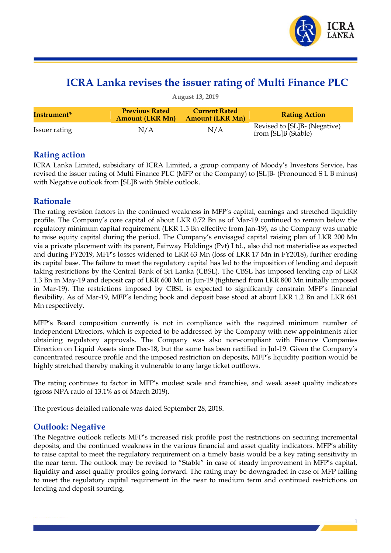

# **ICRA Lanka revises the issuer rating of Multi Finance PLC**

| <b>August 13, 2019</b>  |                                                 |                                                |                                                     |  |  |  |  |  |
|-------------------------|-------------------------------------------------|------------------------------------------------|-----------------------------------------------------|--|--|--|--|--|
| Instrument <sup>*</sup> | <b>Previous Rated</b><br><b>Amount (LKR Mn)</b> | <b>Current Rated</b><br><b>Amount (LKR Mn)</b> | <b>Rating Action</b>                                |  |  |  |  |  |
| Issuer rating           | N/A                                             | N/A                                            | Revised to [SL]B- (Negative)<br>from [SL]B (Stable) |  |  |  |  |  |

## **Rating action**

ICRA Lanka Limited, subsidiary of ICRA Limited, a group company of Moody"s Investors Service, has revised the issuer rating of Multi Finance PLC (MFP or the Company) to [SL]B- (Pronounced S L B minus) with Negative outlook from [SL]B with Stable outlook.

## **Rationale**

The rating revision factors in the continued weakness in MFP"s capital, earnings and stretched liquidity profile. The Company's core capital of about LKR 0.72 Bn as of Mar-19 continued to remain below the regulatory minimum capital requirement (LKR 1.5 Bn effective from Jan-19), as the Company was unable to raise equity capital during the period. The Company's envisaged capital raising plan of LKR 200 Mn via a private placement with its parent, Fairway Holdings (Pvt) Ltd., also did not materialise as expected and during FY2019, MFP"s losses widened to LKR 63 Mn (loss of LKR 17 Mn in FY2018), further eroding its capital base. The failure to meet the regulatory capital has led to the imposition of lending and deposit taking restrictions by the Central Bank of Sri Lanka (CBSL). The CBSL has imposed lending cap of LKR 1.3 Bn in May-19 and deposit cap of LKR 600 Mn in Jun-19 (tightened from LKR 800 Mn initially imposed in Mar-19). The restrictions imposed by CBSL is expected to significantly constrain MFP"s financial flexibility. As of Mar-19, MFP's lending book and deposit base stood at about LKR 1.2 Bn and LKR 661 Mn respectively.

MFP"s Board composition currently is not in compliance with the required minimum number of Independent Directors, which is expected to be addressed by the Company with new appointments after obtaining regulatory approvals. The Company was also non-compliant with Finance Companies Direction on Liquid Assets since Dec-18, but the same has been rectified in Jul-19. Given the Company"s concentrated resource profile and the imposed restriction on deposits, MFP"s liquidity position would be highly stretched thereby making it vulnerable to any large ticket outflows.

The rating continues to factor in MFP"s modest scale and franchise, and weak asset quality indicators (gross NPA ratio of 13.1% as of March 2019).

The previous detailed rationale was dated September 28, 2018.

## **Outlook: Negative**

The Negative outlook reflects MFP"s increased risk profile post the restrictions on securing incremental deposits, and the continued weakness in the various financial and asset quality indicators. MFP"s ability to raise capital to meet the regulatory requirement on a timely basis would be a key rating sensitivity in the near term. The outlook may be revised to "Stable" in case of steady improvement in MFP"s capital, liquidity and asset quality profiles going forward. The rating may be downgraded in case of MFP failing to meet the regulatory capital requirement in the near to medium term and continued restrictions on lending and deposit sourcing.

1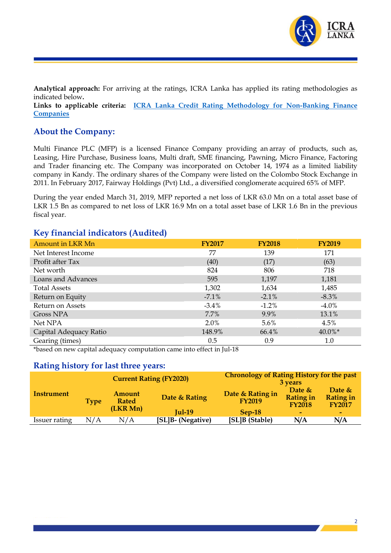

**Analytical approach:** For arriving at the ratings, ICRA Lanka has applied its rating methodologies as indicated below**.**

**Links to applicable criteria: ICRA Lanka Credit Rating Methodology for Non-Banking Finance Companies**

#### **About the Company:**

Multi Finance PLC (MFP) is a licensed Finance Company providing an array of products, such as, Leasing, Hire Purchase, Business loans, Multi draft, SME financing, Pawning, Micro Finance, Factoring and Trader financing etc. The Company was incorporated on October 14, 1974 as a limited liability company in Kandy. The ordinary shares of the Company were listed on the Colombo Stock Exchange in 2011. In February 2017, Fairway Holdings (Pvt) Ltd., a diversified conglomerate acquired 65% of MFP.

During the year ended March 31, 2019, MFP reported a net loss of LKR 63.0 Mn on a total asset base of LKR 1.5 Bn as compared to net loss of LKR 16.9 Mn on a total asset base of LKR 1.6 Bn in the previous fiscal year.

#### **Key financial indicators (Audited)**

| Amount in LKR Mn       | <b>FY2017</b> | <b>FY2018</b> | <b>FY2019</b> |
|------------------------|---------------|---------------|---------------|
| Net Interest Income    | 77            | 139           | 171           |
| Profit after Tax       | (40)          | (17)          | (63)          |
| Net worth              | 824           | 806           | 718           |
| Loans and Advances     | 595           | 1,197         | 1,181         |
| <b>Total Assets</b>    | 1,302         | 1,634         | 1,485         |
| Return on Equity       | $-7.1\%$      | $-2.1\%$      | $-8.3\%$      |
| Return on Assets       | $-3.4\%$      | $-1.2\%$      | $-4.0\%$      |
| Gross NPA              | 7.7%          | 9.9%          | 13.1%         |
| Net NPA                | $2.0\%$       | $5.6\%$       | 4.5%          |
| Capital Adequacy Ratio | 148.9%        | 66.4%         | $40.0\%*$     |
| Gearing (times)        | 0.5           | 0.9           | $1.0\,$       |

\*based on new capital adequacy computation came into effect in Jul-18

## **Rating history for last three years:**

|               | <b>Current Rating (FY2020)</b> |                                    | <b>Chronology of Rating History for the past</b><br>3 years |                                   |                                               |                                                |
|---------------|--------------------------------|------------------------------------|-------------------------------------------------------------|-----------------------------------|-----------------------------------------------|------------------------------------------------|
| Instrument    | Type                           | Amount<br><b>Rated</b><br>(LKR Mn) | Date & Rating                                               | Date & Rating in<br><b>FY2019</b> | Date $&$<br><b>Rating in</b><br><b>FY2018</b> | Date $\&$<br><b>Rating in</b><br><b>FY2017</b> |
|               |                                |                                    | $Iul-19$                                                    | $Sep-18$                          | $\overline{\phantom{a}}$                      | $\sim$                                         |
| Issuer rating | N/A                            | N/A                                | [SL]B- (Negative)                                           | [SL]B (Stable)                    | N/A                                           | N/A                                            |

2